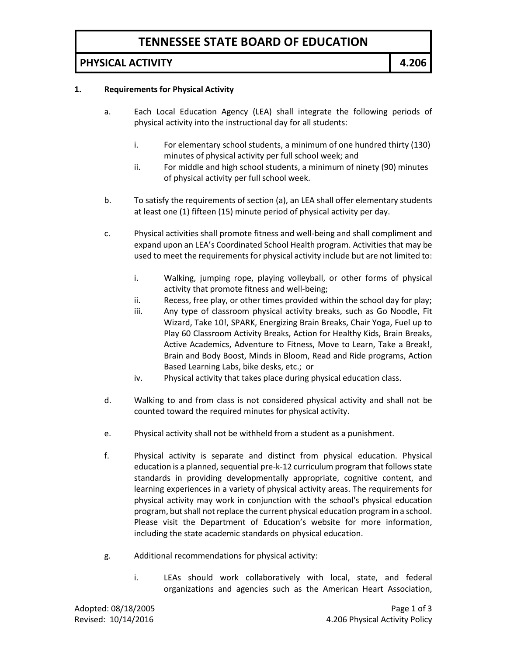# **TENNESSEE STATE BOARD OF EDUCATION**

### **PHYSICAL ACTIVITY 4.206**

#### **1. Requirements for Physical Activity**

- a. Each Local Education Agency (LEA) shall integrate the following periods of physical activity into the instructional day for all students:
	- i. For elementary school students, a minimum of one hundred thirty (130) minutes of physical activity per full school week; and
	- ii. For middle and high school students, a minimum of ninety (90) minutes of physical activity per full school week.
- b. To satisfy the requirements of section (a), an LEA shall offer elementary students at least one (1) fifteen (15) minute period of physical activity per day.
- c. Physical activities shall promote fitness and well-being and shall compliment and expand upon an LEA's Coordinated School Health program. Activities that may be used to meet the requirements for physical activity include but are not limited to:
	- i. Walking, jumping rope, playing volleyball, or other forms of physical activity that promote fitness and well-being;
	- ii. Recess, free play, or other times provided within the school day for play;
	- iii. Any type of classroom physical activity breaks, such as Go Noodle, Fit Wizard, Take 10!, SPARK, Energizing Brain Breaks, Chair Yoga, Fuel up to Play 60 Classroom Activity Breaks, Action for Healthy Kids, Brain Breaks, Active Academics, Adventure to Fitness, Move to Learn, Take a Break!, Brain and Body Boost, Minds in Bloom, Read and Ride programs, Action Based Learning Labs, bike desks, etc.; or
	- iv. Physical activity that takes place during physical education class.
- d. Walking to and from class is not considered physical activity and shall not be counted toward the required minutes for physical activity.
- e. Physical activity shall not be withheld from a student as a punishment.
- f. Physical activity is separate and distinct from physical education. Physical education is a planned, sequential pre-k-12 curriculum program that follows state standards in providing developmentally appropriate, cognitive content, and learning experiences in a variety of physical activity areas. The requirements for physical activity may work in conjunction with the school's physical education program, but shall not replace the current physical education program in a school. Please visit the Department of Education's website for more information, including the state academic standards on physical education.
- g. Additional recommendations for physical activity:
	- i. LEAs should work collaboratively with local, state, and federal organizations and agencies such as the American Heart Association,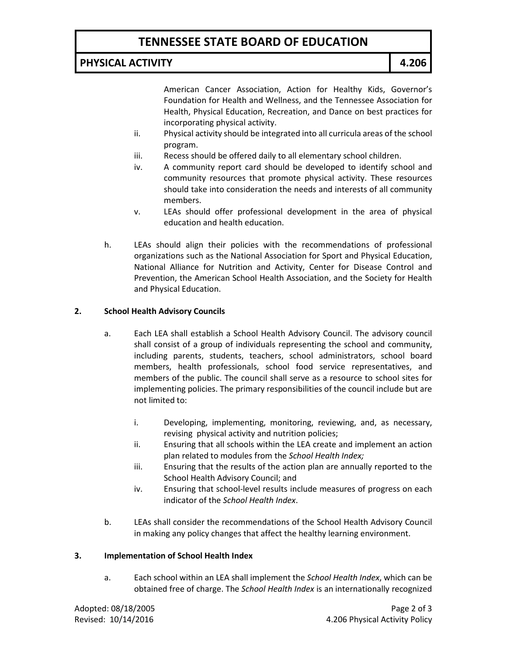# **TENNESSEE STATE BOARD OF EDUCATION**

## **PHYSICAL ACTIVITY 4.206**

American Cancer Association, Action for Healthy Kids, Governor's Foundation for Health and Wellness, and the Tennessee Association for Health, Physical Education, Recreation, and Dance on best practices for incorporating physical activity.

- ii. Physical activity should be integrated into all curricula areas of the school program.
- iii. Recess should be offered daily to all elementary school children.
- iv. A community report card should be developed to identify school and community resources that promote physical activity. These resources should take into consideration the needs and interests of all community members.
- v. LEAs should offer professional development in the area of physical education and health education.
- h. LEAs should align their policies with the recommendations of professional organizations such as the National Association for Sport and Physical Education, National Alliance for Nutrition and Activity, Center for Disease Control and Prevention, the American School Health Association, and the Society for Health and Physical Education.

### **2. School Health Advisory Councils**

- a. Each LEA shall establish a School Health Advisory Council. The advisory council shall consist of a group of individuals representing the school and community, including parents, students, teachers, school administrators, school board members, health professionals, school food service representatives, and members of the public. The council shall serve as a resource to school sites for implementing policies. The primary responsibilities of the council include but are not limited to:
	- i. Developing, implementing, monitoring, reviewing, and, as necessary, revising physical activity and nutrition policies;
	- ii. Ensuring that all schools within the LEA create and implement an action plan related to modules from the *School Health Index;*
	- iii. Ensuring that the results of the action plan are annually reported to the School Health Advisory Council; and
	- iv. Ensuring that school-level results include measures of progress on each indicator of the *School Health Index*.
- b. LEAs shall consider the recommendations of the School Health Advisory Council in making any policy changes that affect the healthy learning environment.

### **3. Implementation of School Health Index**

a. Each school within an LEA shall implement the *School Health Index*, which can be obtained free of charge. The *School Health Index* is an internationally recognized